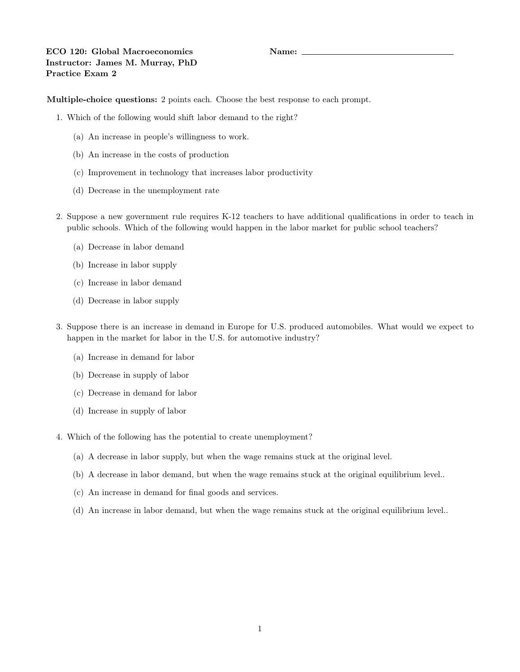Multiple-choice questions: 2 points each. Choose the best response to each prompt.

- 1. Which of the following would shift labor demand to the right?
	- (a) An increase in people's willingness to work.
	- (b) An increase in the costs of production
	- (c) Improvement in technology that increases labor productivity
	- (d) Decrease in the unemployment rate
- 2. Suppose a new government rule requires K-12 teachers to have additional qualifications in order to teach in public schools. Which of the following would happen in the labor market for public school teachers?
	- (a) Decrease in labor demand
	- (b) Increase in labor supply
	- (c) Increase in labor demand
	- (d) Decrease in labor supply
- 3. Suppose there is an increase in demand in Europe for U.S. produced automobiles. What would we expect to happen in the market for labor in the U.S. for automotive industry?
	- (a) Increase in demand for labor
	- (b) Decrease in supply of labor
	- (c) Decrease in demand for labor
	- (d) Increase in supply of labor
- 4. Which of the following has the potential to create unemployment?
	- (a) A decrease in labor supply, but when the wage remains stuck at the original level.
	- (b) A decrease in labor demand, but when the wage remains stuck at the original equilibrium level..
	- (c) An increase in demand for final goods and services.
	- (d) An increase in labor demand, but when the wage remains stuck at the original equilibrium level..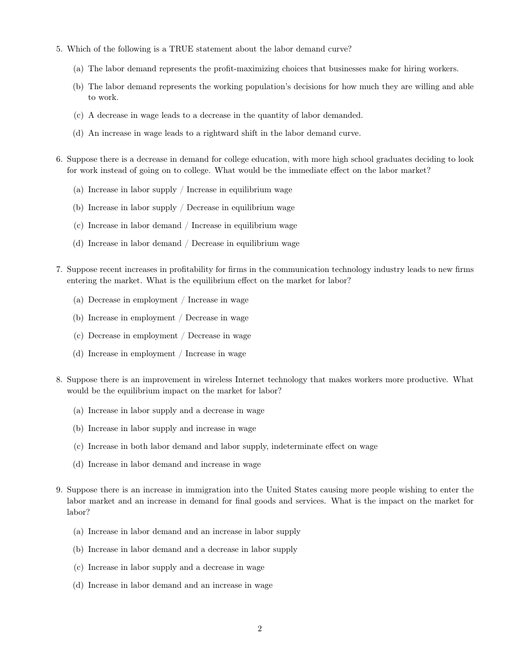- 5. Which of the following is a TRUE statement about the labor demand curve?
	- (a) The labor demand represents the profit-maximizing choices that businesses make for hiring workers.
	- (b) The labor demand represents the working population's decisions for how much they are willing and able to work.
	- (c) A decrease in wage leads to a decrease in the quantity of labor demanded.
	- (d) An increase in wage leads to a rightward shift in the labor demand curve.
- 6. Suppose there is a decrease in demand for college education, with more high school graduates deciding to look for work instead of going on to college. What would be the immediate effect on the labor market?
	- (a) Increase in labor supply / Increase in equilibrium wage
	- (b) Increase in labor supply / Decrease in equilibrium wage
	- (c) Increase in labor demand / Increase in equilibrium wage
	- (d) Increase in labor demand / Decrease in equilibrium wage
- 7. Suppose recent increases in profitability for firms in the communication technology industry leads to new firms entering the market. What is the equilibrium effect on the market for labor?
	- (a) Decrease in employment / Increase in wage
	- (b) Increase in employment / Decrease in wage
	- (c) Decrease in employment / Decrease in wage
	- (d) Increase in employment / Increase in wage
- 8. Suppose there is an improvement in wireless Internet technology that makes workers more productive. What would be the equilibrium impact on the market for labor?
	- (a) Increase in labor supply and a decrease in wage
	- (b) Increase in labor supply and increase in wage
	- (c) Increase in both labor demand and labor supply, indeterminate effect on wage
	- (d) Increase in labor demand and increase in wage
- 9. Suppose there is an increase in immigration into the United States causing more people wishing to enter the labor market and an increase in demand for final goods and services. What is the impact on the market for labor?
	- (a) Increase in labor demand and an increase in labor supply
	- (b) Increase in labor demand and a decrease in labor supply
	- (c) Increase in labor supply and a decrease in wage
	- (d) Increase in labor demand and an increase in wage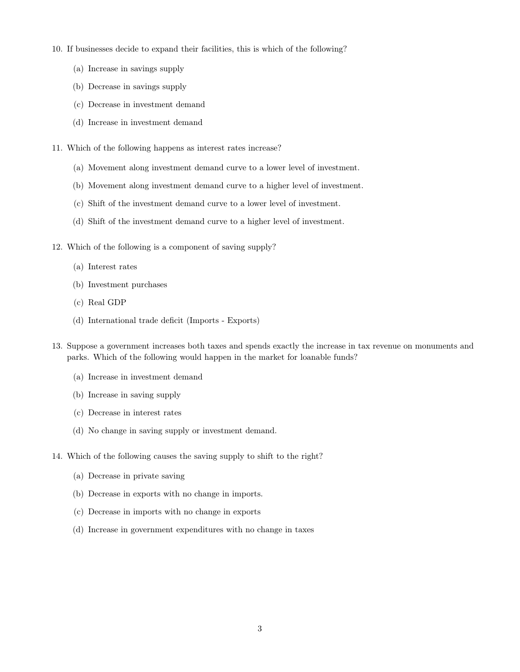- 10. If businesses decide to expand their facilities, this is which of the following?
	- (a) Increase in savings supply
	- (b) Decrease in savings supply
	- (c) Decrease in investment demand
	- (d) Increase in investment demand
- 11. Which of the following happens as interest rates increase?
	- (a) Movement along investment demand curve to a lower level of investment.
	- (b) Movement along investment demand curve to a higher level of investment.
	- (c) Shift of the investment demand curve to a lower level of investment.
	- (d) Shift of the investment demand curve to a higher level of investment.
- 12. Which of the following is a component of saving supply?
	- (a) Interest rates
	- (b) Investment purchases
	- (c) Real GDP
	- (d) International trade deficit (Imports Exports)
- 13. Suppose a government increases both taxes and spends exactly the increase in tax revenue on monuments and parks. Which of the following would happen in the market for loanable funds?
	- (a) Increase in investment demand
	- (b) Increase in saving supply
	- (c) Decrease in interest rates
	- (d) No change in saving supply or investment demand.
- 14. Which of the following causes the saving supply to shift to the right?
	- (a) Decrease in private saving
	- (b) Decrease in exports with no change in imports.
	- (c) Decrease in imports with no change in exports
	- (d) Increase in government expenditures with no change in taxes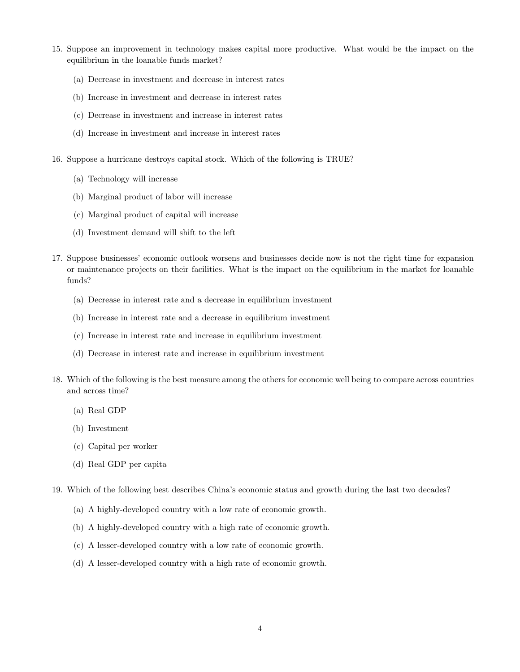- 15. Suppose an improvement in technology makes capital more productive. What would be the impact on the equilibrium in the loanable funds market?
	- (a) Decrease in investment and decrease in interest rates
	- (b) Increase in investment and decrease in interest rates
	- (c) Decrease in investment and increase in interest rates
	- (d) Increase in investment and increase in interest rates
- 16. Suppose a hurricane destroys capital stock. Which of the following is TRUE?
	- (a) Technology will increase
	- (b) Marginal product of labor will increase
	- (c) Marginal product of capital will increase
	- (d) Investment demand will shift to the left
- 17. Suppose businesses' economic outlook worsens and businesses decide now is not the right time for expansion or maintenance projects on their facilities. What is the impact on the equilibrium in the market for loanable funds?
	- (a) Decrease in interest rate and a decrease in equilibrium investment
	- (b) Increase in interest rate and a decrease in equilibrium investment
	- (c) Increase in interest rate and increase in equilibrium investment
	- (d) Decrease in interest rate and increase in equilibrium investment
- 18. Which of the following is the best measure among the others for economic well being to compare across countries and across time?
	- (a) Real GDP
	- (b) Investment
	- (c) Capital per worker
	- (d) Real GDP per capita
- 19. Which of the following best describes China's economic status and growth during the last two decades?
	- (a) A highly-developed country with a low rate of economic growth.
	- (b) A highly-developed country with a high rate of economic growth.
	- (c) A lesser-developed country with a low rate of economic growth.
	- (d) A lesser-developed country with a high rate of economic growth.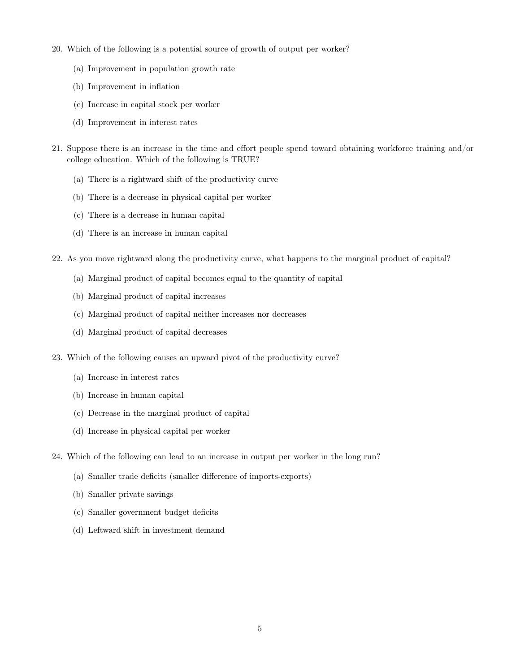- 20. Which of the following is a potential source of growth of output per worker?
	- (a) Improvement in population growth rate
	- (b) Improvement in inflation
	- (c) Increase in capital stock per worker
	- (d) Improvement in interest rates
- 21. Suppose there is an increase in the time and effort people spend toward obtaining workforce training and/or college education. Which of the following is TRUE?
	- (a) There is a rightward shift of the productivity curve
	- (b) There is a decrease in physical capital per worker
	- (c) There is a decrease in human capital
	- (d) There is an increase in human capital
- 22. As you move rightward along the productivity curve, what happens to the marginal product of capital?
	- (a) Marginal product of capital becomes equal to the quantity of capital
	- (b) Marginal product of capital increases
	- (c) Marginal product of capital neither increases nor decreases
	- (d) Marginal product of capital decreases
- 23. Which of the following causes an upward pivot of the productivity curve?
	- (a) Increase in interest rates
	- (b) Increase in human capital
	- (c) Decrease in the marginal product of capital
	- (d) Increase in physical capital per worker
- 24. Which of the following can lead to an increase in output per worker in the long run?
	- (a) Smaller trade deficits (smaller difference of imports-exports)
	- (b) Smaller private savings
	- (c) Smaller government budget deficits
	- (d) Leftward shift in investment demand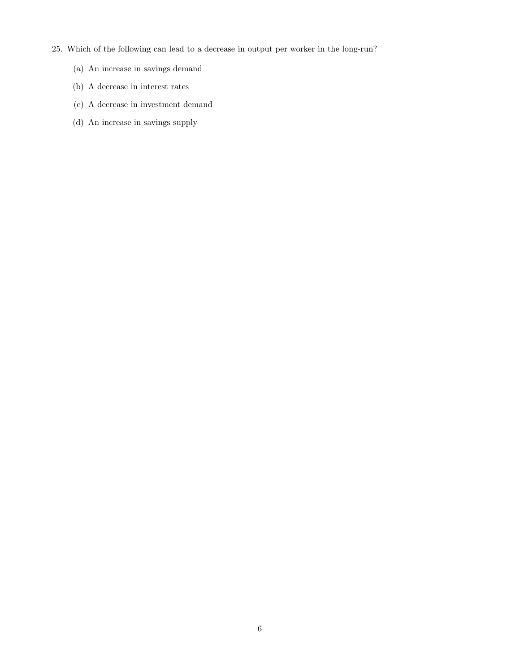- 25. Which of the following can lead to a decrease in output per worker in the long-run?
	- (a) An increase in savings demand
	- (b) A decrease in interest rates
	- (c) A decrease in investment demand
	- (d) An increase in savings supply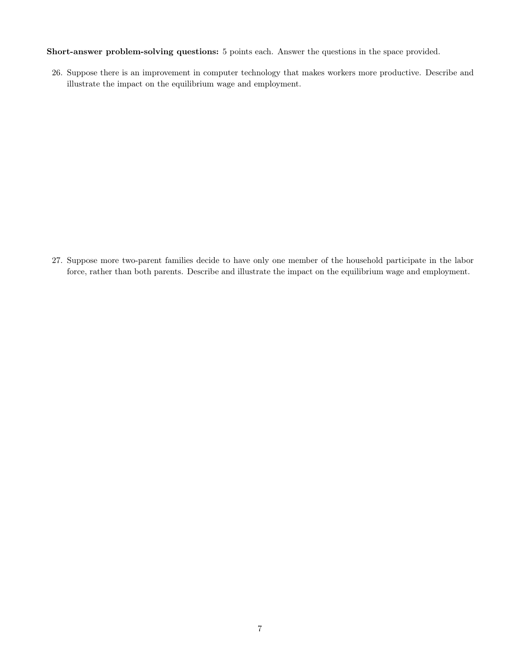Short-answer problem-solving questions: 5 points each. Answer the questions in the space provided.

26. Suppose there is an improvement in computer technology that makes workers more productive. Describe and illustrate the impact on the equilibrium wage and employment.

27. Suppose more two-parent families decide to have only one member of the household participate in the labor force, rather than both parents. Describe and illustrate the impact on the equilibrium wage and employment.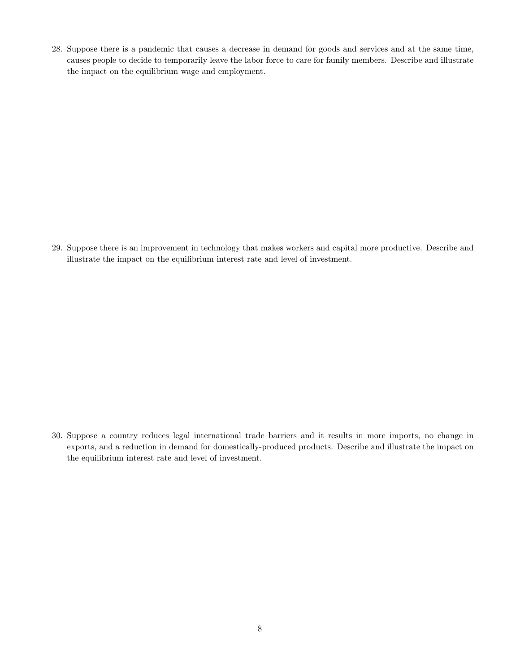28. Suppose there is a pandemic that causes a decrease in demand for goods and services and at the same time, causes people to decide to temporarily leave the labor force to care for family members. Describe and illustrate the impact on the equilibrium wage and employment.

29. Suppose there is an improvement in technology that makes workers and capital more productive. Describe and illustrate the impact on the equilibrium interest rate and level of investment.

30. Suppose a country reduces legal international trade barriers and it results in more imports, no change in exports, and a reduction in demand for domestically-produced products. Describe and illustrate the impact on the equilibrium interest rate and level of investment.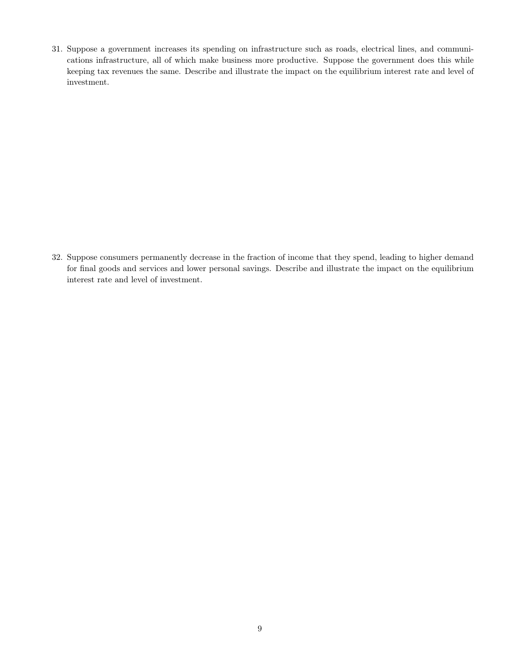31. Suppose a government increases its spending on infrastructure such as roads, electrical lines, and communications infrastructure, all of which make business more productive. Suppose the government does this while keeping tax revenues the same. Describe and illustrate the impact on the equilibrium interest rate and level of investment.

32. Suppose consumers permanently decrease in the fraction of income that they spend, leading to higher demand for final goods and services and lower personal savings. Describe and illustrate the impact on the equilibrium interest rate and level of investment.